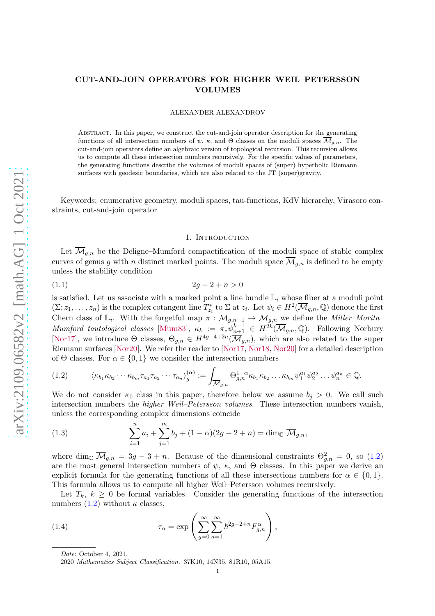# <span id="page-0-2"></span>CUT-AND-JOIN OPERATORS FOR HIGHER WEIL–PETERSSON VOLUMES

ALEXANDER ALEXANDROV

Abstract. In this paper, we construct the cut-and-join operator description for the generating functions of all intersection numbers of  $\psi$ ,  $\kappa$ , and  $\Theta$  classes on the moduli spaces  $\overline{\mathcal{M}}_{q,n}$ . The cut-and-join operators define an algebraic version of topological recursion. This recursion allows us to compute all these intersection numbers recursively. For the specific values of parameters, the generating functions describe the volumes of moduli spaces of (super) hyperbolic Riemann surfaces with geodesic boundaries, which are also related to the JT (super)gravity.

Keywords: enumerative geometry, moduli spaces, tau-functions, KdV hierarchy, Virasoro constraints, cut-and-join operator

#### 1. INTRODUCTION

Let  $\overline{\mathcal{M}}_{q,n}$  be the Deligne–Mumford compactification of the moduli space of stable complex curves of genus g with n distinct marked points. The moduli space  $\overline{\mathcal{M}}_{q,n}$  is defined to be empty unless the stability condition

$$
(1.1) \t\t 2g - 2 + n > 0
$$

is satisfied. Let us associate with a marked point a line bundle  $\mathbb{L}_i$  whose fiber at a moduli point  $(\Sigma; z_1,\ldots,z_n)$  is the complex cotangent line  $T^*_{z_i}$  to  $\Sigma$  at  $z_i$ . Let  $\psi_i \in H^2(\overline{\mathcal{M}}_{g,n},\mathbb{Q})$  denote the first Chern class of  $\mathbb{L}_i$ . With the forgetful map  $\pi : \overline{\mathcal{M}}_{g,n+1} \to \overline{\mathcal{M}}_{g,n}$  we define the *Miller–Morita–* Mumford tautological classes [\[Mum83\]](#page-11-0),  $\kappa_k := \pi_* \psi_{n+1}^{k+1} \in H^{2k}(\overline{\mathcal{M}}_{g,n}, \mathbb{Q})$ . Following Norbury [\[Nor17\]](#page-11-1), we introduce  $\Theta$  classes,  $\Theta_{g,n} \in H^{4g-4+2n}(\overline{\mathcal{M}}_{g,n})$ , which are also related to the super Riemann surfaces [\[Nor20\]](#page-11-2). We refer the reader to [\[Nor17,](#page-11-1) [Nor18,](#page-11-3) [Nor20\]](#page-11-2) for a detailed description of  $\Theta$  classes. For  $\alpha \in \{0,1\}$  we consider the intersection numbers

<span id="page-0-0"></span>
$$
(1.2) \qquad \langle \kappa_{b_1} \kappa_{b_2} \cdots \kappa_{b_m} \tau_{a_1} \tau_{a_2} \cdots \tau_{a_n} \rangle_g^{(\alpha)} := \int_{\overline{\mathcal{M}}_{g,n}} \Theta_{g,n}^{1-\alpha} \kappa_{b_1} \kappa_{b_2} \ldots \kappa_{b_m} \psi_1^{a_1} \psi_2^{a_2} \ldots \psi_n^{a_n} \in \mathbb{Q}.
$$

We do not consider  $\kappa_0$  class in this paper, therefore below we assume  $b_j > 0$ . We call such intersection numbers the higher Weil–Petersson volumes. These intersection numbers vanish, unless the corresponding complex dimensions coincide

(1.3) 
$$
\sum_{i=1}^{n} a_i + \sum_{j=1}^{m} b_j + (1 - \alpha)(2g - 2 + n) = \dim_{\mathbb{C}} \overline{\mathcal{M}}_{g,n},
$$

where dim<sub>C</sub>  $\overline{\mathcal{M}}_{g,n} = 3g - 3 + n$ . Because of the dimensional constraints  $\Theta_{g,n}^2 = 0$ , so [\(1.2\)](#page-0-0) are the most general intersection numbers of  $\psi$ ,  $\kappa$ , and  $\Theta$  classes. In this paper we derive an explicit formula for the generating functions of all these intersections numbers for  $\alpha \in \{0,1\}$ . This formula allows us to compute all higher Weil–Petersson volumes recursively.

Let  $T_k$ ,  $k \geq 0$  be formal variables. Consider the generating functions of the intersection numbers [\(1.2\)](#page-0-0) without  $\kappa$  classes,

(1.4) 
$$
\tau_{\alpha} = \exp\left(\sum_{g=0}^{\infty} \sum_{n=1}^{\infty} \hbar^{2g-2+n} F_{g,n}^{\alpha}\right),
$$

<span id="page-0-1"></span>Date: October 4, 2021.

<sup>2020</sup> Mathematics Subject Classification. 37K10, 14N35, 81R10, 05A15.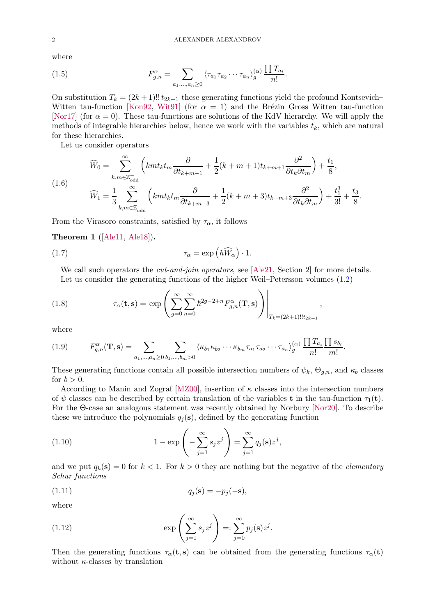#### <span id="page-1-4"></span>2 ALEXANDER ALEXANDROV

where

(1.5) 
$$
F_{g,n}^{\alpha} = \sum_{a_1,\dots,a_n \geq 0} \langle \tau_{a_1} \tau_{a_2} \cdots \tau_{a_n} \rangle_g^{(\alpha)} \frac{\prod T_{a_i}}{n!}.
$$

On substitution  $T_k = (2k+1)!! t_{2k+1}$  these generating functions yield the profound Kontsevich– Witten tau-function [\[Kon92,](#page-11-4) [Wit91\]](#page-11-5) (for  $\alpha = 1$ ) and the Brézin–Gross–Witten tau-function [\[Nor17\]](#page-11-1) (for  $\alpha = 0$ ). These tau-functions are solutions of the KdV hierarchy. We will apply the methods of integrable hierarchies below, hence we work with the variables  $t_k$ , which are natural for these hierarchies.

Let us consider operators

<span id="page-1-1"></span>(1.6)  
\n
$$
\widehat{W}_0 = \sum_{k,m \in \mathbb{Z}_{odd}^+}^{\infty} \left( kmt_k t_m \frac{\partial}{\partial t_{k+m-1}} + \frac{1}{2} (k+m+1) t_{k+m+1} \frac{\partial^2}{\partial t_k \partial t_m} \right) + \frac{t_1}{8},
$$
\n
$$
\widehat{W}_1 = \frac{1}{3} \sum_{k,m \in \mathbb{Z}_{odd}^+}^{\infty} \left( kmt_k t_m \frac{\partial}{\partial t_{k+m-3}} + \frac{1}{2} (k+m+3) t_{k+m+3} \frac{\partial^2}{\partial t_k \partial t_m} \right) + \frac{t_1^3}{3!} + \frac{t_3}{8}.
$$

From the Virasoro constraints, satisfied by  $\tau_{\alpha}$ , it follows

<span id="page-1-2"></span>Theorem 1 ([\[Ale11,](#page-11-6) [Ale18\]](#page-11-7)).

(1.7) 
$$
\tau_{\alpha} = \exp\left(\hbar \widehat{W}_{\alpha}\right) \cdot 1.
$$

<span id="page-1-0"></span>We call such operators the *cut-and-join operators*, see [\[Ale21,](#page-11-8) Section 2] for more details. Let us consider the generating functions of the higher Weil–Petersson volumes [\(1.2\)](#page-0-0)

,

(1.8) 
$$
\tau_{\alpha}(\mathbf{t}, \mathbf{s}) = \exp \left( \sum_{g=0}^{\infty} \sum_{n=0}^{\infty} \hbar^{2g-2+n} F_{g,n}^{\alpha}(\mathbf{T}, \mathbf{s}) \right) \Bigg|_{T_{k}=(2k+1)!!t_{2k+1}}
$$

where

<span id="page-1-3"></span>
$$
(1.9) \tF_{g,n}^{\alpha}(\mathbf{T}, \mathbf{s}) = \sum_{a_1, ..., a_n \ge 0} \sum_{b_1, ..., b_m > 0} \langle \kappa_{b_1} \kappa_{b_2} \cdots \kappa_{b_m} \tau_{a_1} \tau_{a_2} \cdots \tau_{a_n} \rangle_g^{(\alpha)} \frac{\prod T_{a_i}}{n!} \frac{\prod s_{b_i}}{m!}.
$$

These generating functions contain all possible intersection numbers of  $\psi_k$ ,  $\Theta_{g,n}$ , and  $\kappa_b$  classes for  $b > 0$ .

According to Manin and Zograf [\[MZ00\]](#page-11-9), insertion of  $\kappa$  classes into the intersection numbers of  $\psi$  classes can be described by certain translation of the variables **t** in the tau-function  $\tau_1(t)$ . For the Θ-case an analogous statement was recently obtained by Norbury [\[Nor20\]](#page-11-2). To describe these we introduce the polynomials  $q_i(\mathbf{s})$ , defined by the generating function

(1.10) 
$$
1 - \exp\left(-\sum_{j=1}^{\infty} s_j z^j\right) = \sum_{j=1}^{\infty} q_j(\mathbf{s}) z^j,
$$

and we put  $q_k(s) = 0$  for  $k < 1$ . For  $k > 0$  they are nothing but the negative of the *elementary* Schur functions

$$
(1.11) \t\t\t q_j(\mathbf{s}) = -p_j(-\mathbf{s}),
$$

where

(1.12) 
$$
\exp\left(\sum_{j=1}^{\infty} s_j z^j\right) =: \sum_{j=0}^{\infty} p_j(\mathbf{s}) z^j.
$$

Then the generating functions  $\tau_{\alpha}(\mathbf{t}, \mathbf{s})$  can be obtained from the generating functions  $\tau_{\alpha}(\mathbf{t})$ without  $\kappa$ -classes by translation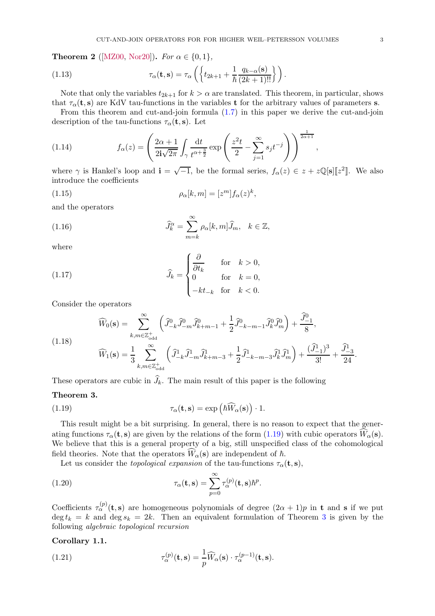<span id="page-2-7"></span><span id="page-2-3"></span>**Theorem 2** ([\[MZ00,](#page-11-9) [Nor20\]](#page-11-2)). For  $\alpha \in \{0, 1\}$ ,

<span id="page-2-4"></span>(1.13) 
$$
\tau_{\alpha}(\mathbf{t}, \mathbf{s}) = \tau_{\alpha} \left( \left\{ t_{2k+1} + \frac{1}{\hbar} \frac{q_{k-\alpha}(\mathbf{s})}{(2k+1)!!} \right\} \right).
$$

Note that only the variables  $t_{2k+1}$  for  $k > \alpha$  are translated. This theorem, in particular, shows that  $\tau_{\alpha}(\mathbf{t}, \mathbf{s})$  are KdV tau-functions in the variables **t** for the arbitrary values of parameters **s**.

From this theorem and cut-and-join formula [\(1.7\)](#page-1-0) in this paper we derive the cut-and-join description of the tau-functions  $\tau_{\alpha}(\mathbf{t}, \mathbf{s})$ . Let

<span id="page-2-5"></span>(1.14) 
$$
f_{\alpha}(z) = \left(\frac{2\alpha+1}{2i\sqrt{2\pi}} \int_{\gamma} \frac{dt}{t^{\alpha+\frac{3}{2}}} \exp\left(\frac{z^2t}{2} - \sum_{j=1}^{\infty} s_j t^{-j}\right)\right)^{\frac{1}{2\alpha+1}}
$$

where  $\gamma$  is Hankel's loop and  $\mathbf{i} = \sqrt{-1}$ , be the formal series,  $f_{\alpha}(z) \in z + z\mathbb{Q}[\mathbf{s}][z^2]$ . We also introduce the coefficients

(1.15) 
$$
\rho_{\alpha}[k,m] = [z^m]f_{\alpha}(z)^k,
$$

and the operators

(1.16) 
$$
\widehat{J}_k^{\alpha} = \sum_{m=k}^{\infty} \rho_{\alpha}[k,m]\widehat{J}_m, \quad k \in \mathbb{Z},
$$

where

(1.17) 
$$
\widehat{J}_k = \begin{cases} \frac{\partial}{\partial t_k} & \text{for } k > 0, \\ 0 & \text{for } k = 0, \\ -kt_{-k} & \text{for } k < 0. \end{cases}
$$

Consider the operators

<span id="page-2-6"></span>(1.18)  
\n
$$
\widehat{W}_{0}(\mathbf{s}) = \sum_{k,m \in \mathbb{Z}_{odd}^{+}}^{\infty} \left( \widehat{J}_{-k}^{0} \widehat{J}_{-m}^{0} \widehat{J}_{k+m-1}^{0} + \frac{1}{2} \widehat{J}_{-k-m-1}^{0} \widehat{J}_{k}^{0} \widehat{J}_{m}^{0} \right) + \frac{\widehat{J}_{-1}^{0}}{8},
$$
\n
$$
\widehat{W}_{1}(\mathbf{s}) = \frac{1}{3} \sum_{k,m \in \mathbb{Z}_{odd}^{+}}^{\infty} \left( \widehat{J}_{-k}^{1} \widehat{J}_{-m}^{1} \widehat{J}_{k+m-3}^{1} + \frac{1}{2} \widehat{J}_{-k-m-3}^{1} \widehat{J}_{k}^{1} \widehat{J}_{m}^{1} \right) + \frac{(\widehat{J}_{-1}^{1})^{3}}{3!} + \frac{\widehat{J}_{-3}^{1}}{24}.
$$

These operators are cubic in  $J_k$ . The main result of this paper is the following

#### <span id="page-2-1"></span>Theorem 3.

<span id="page-2-0"></span>(1.19) 
$$
\tau_{\alpha}(\mathbf{t}, \mathbf{s}) = \exp \left( \hbar \widehat{W}_{\alpha}(\mathbf{s}) \right) \cdot 1.
$$

This result might be a bit surprising. In general, there is no reason to expect that the generating functions  $\tau_{\alpha}(\mathbf{t}, \mathbf{s})$  are given by the relations of the form [\(1.19\)](#page-2-0) with cubic operators  $\widehat{W}_{\alpha}(\mathbf{s})$ . We believe that this is a general property of a big, still unspecified class of the cohomological field theories. Note that the operators  $\widehat{W}_{\alpha}(\mathbf{s})$  are independent of  $\hbar$ .

Let us consider the *topological expansion* of the tau-functions  $\tau_{\alpha}(\mathbf{t}, \mathbf{s})$ ,

(1.20) 
$$
\tau_{\alpha}(\mathbf{t}, \mathbf{s}) = \sum_{p=0}^{\infty} \tau_{\alpha}^{(p)}(\mathbf{t}, \mathbf{s}) \hbar^{p}.
$$

Coefficients  $\tau_\alpha^{(p)}(t,s)$  are homogeneous polynomials of degree  $(2\alpha+1)p$  in t and s if we put  $\deg t_k = k$  and  $\deg s_k = 2k$ . Then an equivalent formulation of Theorem [3](#page-2-1) is given by the following algebraic topological recursion

## Corollary 1.1.

<span id="page-2-2"></span>(1.21) 
$$
\tau_{\alpha}^{(p)}(\mathbf{t}, \mathbf{s}) = \frac{1}{p} \widehat{W}_{\alpha}(\mathbf{s}) \cdot \tau_{\alpha}^{(p-1)}(\mathbf{t}, \mathbf{s}).
$$

,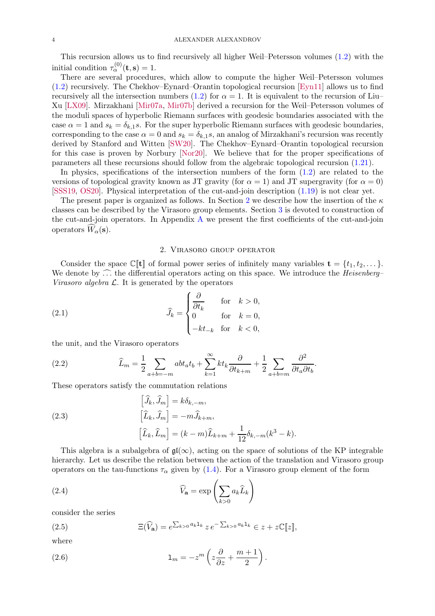<span id="page-3-2"></span>This recursion allows us to find recursively all higher Weil–Petersson volumes [\(1.2\)](#page-0-0) with the initial condition  $\tau_{\alpha}^{(0)}(\mathbf{t},\mathbf{s})=1$ .

There are several procedures, which allow to compute the higher Weil–Petersson volumes [\(1.2\)](#page-0-0) recursively. The Chekhov–Eynard–Orantin topological recursion [\[Eyn11\]](#page-11-10) allows us to find recursively all the intersection numbers [\(1.2\)](#page-0-0) for  $\alpha = 1$ . It is equivalent to the recursion of Liu– Xu [\[LX09\]](#page-11-11). Mirzakhani [\[Mir07a,](#page-11-12) [Mir07b\]](#page-11-13) derived a recursion for the Weil–Petersson volumes of the moduli spaces of hyperbolic Riemann surfaces with geodesic boundaries associated with the case  $\alpha = 1$  and  $s_k = \delta_{k,1} s$ . For the super hyperbolic Riemann surfaces with geodesic boundaries, corresponding to the case  $\alpha = 0$  and  $s_k = \delta_{k,1}s$ , an analog of Mirzakhani's recursion was recently derived by Stanford and Witten [\[SW20\]](#page-11-14). The Chekhov–Eynard–Orantin topological recursion for this case is proven by Norbury [\[Nor20\]](#page-11-2). We believe that for the proper specifications of parameters all these recursions should follow from the algebraic topological recursion [\(1.21\)](#page-2-2).

In physics, specifications of the intersection numbers of the form  $(1.2)$  are related to the versions of topological gravity known as JT gravity (for  $\alpha = 1$ ) and JT supergravity (for  $\alpha = 0$ ) [\[SSS19,](#page-11-15) [OS20\]](#page-11-16). Physical interpretation of the cut-and-join description [\(1.19\)](#page-2-0) is not clear yet.

The present paper is organized as follows. In Section [2](#page-3-0) we describe how the insertion of the  $\kappa$ classes can be described by the Virasoro group elements. Section [3](#page-5-0) is devoted to construction of the cut-and-join operators. In Appendix [A](#page-9-0) we present the first coefficients of the cut-and-join operators  $\hat{W}_\alpha(\mathbf{s})$ .

#### 2. Virasoro group operator

<span id="page-3-0"></span>Consider the space  $\mathbb{C}[\mathbf{t}]$  of formal power series of infinitely many variables  $\mathbf{t} = \{t_1, t_2, \dots\}$ . We denote by  $\widehat{\ldots}$  the differential operators acting on this space. We introduce the *Heisenberg–* Virasoro algebra  $\mathcal L$ . It is generated by the operators

(2.1) 
$$
\widehat{J}_k = \begin{cases} \frac{\partial}{\partial t_k} & \text{for } k > 0, \\ 0 & \text{for } k = 0, \\ -kt_{-k} & \text{for } k < 0, \end{cases}
$$

the unit, and the Virasoro operators

(2.2) 
$$
\widehat{L}_m = \frac{1}{2} \sum_{a+b=-m} abt_a t_b + \sum_{k=1}^{\infty} kt_k \frac{\partial}{\partial t_{k+m}} + \frac{1}{2} \sum_{a+b=m} \frac{\partial^2}{\partial t_a \partial t_b}.
$$

These operators satisfy the commutation relations

(2.3)  
\n
$$
\begin{aligned}\n[\widehat{J}_k, \widehat{J}_m] &= k \delta_{k,-m}, \\
[\widehat{L}_k, \widehat{J}_m] &= -m \widehat{J}_{k+m}, \\
[\widehat{L}_k, \widehat{L}_m] &= (k-m) \widehat{L}_{k+m} + \frac{1}{12} \delta_{k,-m} (k^3 - k).\n\end{aligned}
$$

This algebra is a subalgebra of  $\mathfrak{gl}(\infty)$ , acting on the space of solutions of the KP integrable hierarchy. Let us describe the relation between the action of the translation and Virasoro group operators on the tau-functions  $\tau_{\alpha}$  given by [\(1.4\)](#page-0-1). For a Virasoro group element of the form

<span id="page-3-1"></span>(2.4) 
$$
\widehat{V}_{\mathbf{a}} = \exp\left(\sum_{k>0} a_k \widehat{L}_k\right)
$$

consider the series

(2.5) 
$$
\Xi(\widehat{V}_{\mathbf{a}}) = e^{\sum_{k>0} a_k \mathbf{1}_k} z e^{-\sum_{k>0} a_k \mathbf{1}_k} \in z + z \mathbb{C}[\![z]\!],
$$

where

(2.6) 
$$
1_m = -z^m \left( z \frac{\partial}{\partial z} + \frac{m+1}{2} \right).
$$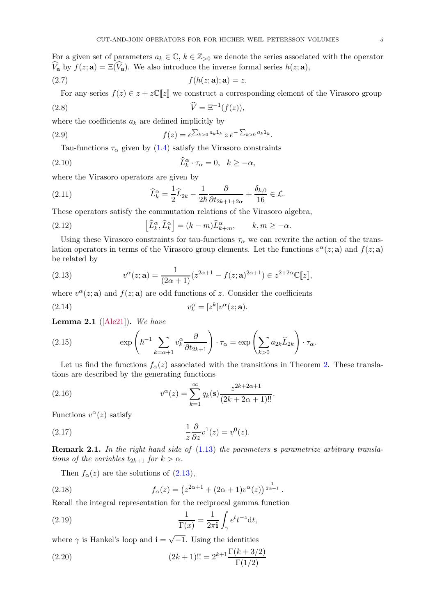<span id="page-4-5"></span>For a given set of parameters  $a_k \in \mathbb{C}$ ,  $k \in \mathbb{Z}_{>0}$  we denote the series associated with the operator  $\hat{V}_a$  by  $f(z; \mathbf{a}) = \Xi(\hat{V}_a)$ . We also introduce the inverse formal series  $h(z; \mathbf{a})$ ,

<span id="page-4-4"></span>
$$
(2.7) \t f(h(z; \mathbf{a}); \mathbf{a}) = z.
$$

For any series  $f(z) \in z + z\mathbb{C}[z]$  we construct a corresponding element of the Virasoro group (2.8)  $\widehat{V} = \Xi^{-1}(f(z)),$ 

where the coefficients 
$$
a_k
$$
 are defined implicitly by

(2.9) 
$$
f(z) = e^{\sum_{k>0} a_k 1_k} z e^{-\sum_{k>0} a_k 1_k}.
$$

<span id="page-4-3"></span>Tau-functions  $\tau_{\alpha}$  given by [\(1.4\)](#page-0-1) satisfy the Virasoro constraints

(2.10) 
$$
\widehat{L}_k^{\alpha} \cdot \tau_{\alpha} = 0, \quad k \ge -\alpha,
$$

where the Virasoro operators are given by

(2.11) 
$$
\widehat{L}_k^{\alpha} = \frac{1}{2}\widehat{L}_{2k} - \frac{1}{2\hbar}\frac{\partial}{\partial t_{2k+1+2\alpha}} + \frac{\delta_{k,0}}{16} \in \mathcal{L}.
$$

These operators satisfy the commutation relations of the Virasoro algebra,

(2.12) 
$$
\left[\widehat{L}_{k}^{\alpha}, \widehat{L}_{k}^{\alpha}\right] = (k - m)\widehat{L}_{k+m}^{\alpha}, \qquad k, m \geq -\alpha.
$$

Using these Virasoro constraints for tau-functions  $\tau_{\alpha}$  we can rewrite the action of the translation operators in terms of the Virasoro group elements. Let the functions  $v^{\alpha}(z; \mathbf{a})$  and  $f(z; \mathbf{a})$ be related by

<span id="page-4-0"></span>(2.13) 
$$
v^{\alpha}(z; \mathbf{a}) = \frac{1}{(2\alpha+1)}(z^{2\alpha+1} - f(z; \mathbf{a})^{2\alpha+1}) \in z^{2+2\alpha} \mathbb{C}[[z]],
$$

where  $v^{\alpha}(z; \mathbf{a})$  and  $f(z; \mathbf{a})$  are odd functions of z. Consider the coefficients

(2.14) 
$$
v_k^{\alpha} = [z^k]v^{\alpha}(z; \mathbf{a}).
$$

<span id="page-4-2"></span>**Lemma 2.1** ( $[Ale21]$ ). We have

(2.15) 
$$
\exp\left(\hbar^{-1}\sum_{k=\alpha+1}v_k^{\alpha}\frac{\partial}{\partial t_{2k+1}}\right)\cdot\tau_{\alpha}=\exp\left(\sum_{k>0}a_{2k}\widehat{L}_{2k}\right)\cdot\tau_{\alpha}.
$$

Let us find the functions  $f_{\alpha}(z)$  associated with the transitions in Theorem [2.](#page-2-3) These translations are described by the generating functions

(2.16) 
$$
v^{\alpha}(z) = \sum_{k=1}^{\infty} q_k(\mathbf{s}) \frac{z^{2k+2\alpha+1}}{(2k+2\alpha+1)!!}.
$$

Functions  $v^{\alpha}(z)$  satisfy

(2.17) 
$$
\frac{1}{z}\frac{\partial}{\partial z}v^1(z) = v^0(z).
$$

**Remark 2.1.** In the right hand side of  $(1.13)$  the parameters **s** parametrize arbitrary translations of the variables  $t_{2k+1}$  for  $k > \alpha$ .

<span id="page-4-1"></span>Then  $f_{\alpha}(z)$  are the solutions of  $(2.13)$ ,

(2.18) 
$$
f_{\alpha}(z) = (z^{2\alpha+1} + (2\alpha+1)v^{\alpha}(z))^{\frac{1}{2\alpha+1}}.
$$

Recall the integral representation for the reciprocal gamma function

(2.19) 
$$
\frac{1}{\Gamma(x)} = \frac{1}{2\pi i} \int_{\gamma} e^t t^{-z} dt,
$$

where  $\gamma$  is Hankel's loop and  $\mathbf{i} = \sqrt{-1}$ . Using the identities

(2.20) 
$$
(2k+1)!! = 2^{k+1} \frac{\Gamma(k+3/2)}{\Gamma(1/2)}
$$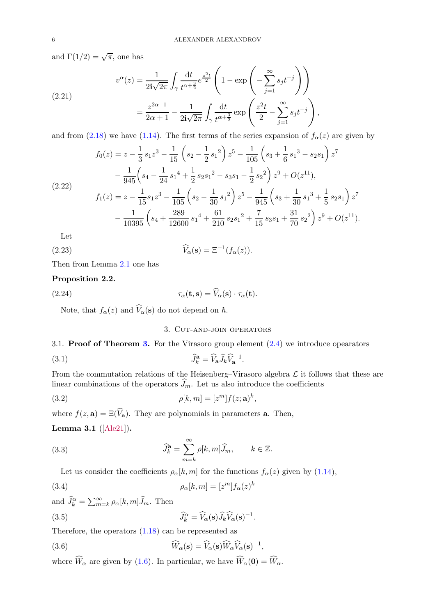<span id="page-5-4"></span>and  $\Gamma(1/2) = \sqrt{\pi}$ , one has

(2.21)  

$$
v^{\alpha}(z) = \frac{1}{2i\sqrt{2\pi}} \int_{\gamma} \frac{dt}{t^{\alpha + \frac{3}{2}}} e^{\frac{z^{2}t}{2}} \left( 1 - \exp\left( -\sum_{j=1}^{\infty} s_{j} t^{-j} \right) \right)
$$

$$
= \frac{z^{2\alpha + 1}}{2\alpha + 1} - \frac{1}{2i\sqrt{2\pi}} \int_{\gamma} \frac{dt}{t^{\alpha + \frac{3}{2}}} \exp\left( \frac{z^{2}t}{2} - \sum_{j=1}^{\infty} s_{j} t^{-j} \right),
$$

and from [\(2.18\)](#page-4-1) we have [\(1.14\)](#page-2-5). The first terms of the series expansion of  $f_{\alpha}(z)$  are given by

$$
f_0(z) = z - \frac{1}{3}s_1z^3 - \frac{1}{15}\left(s_2 - \frac{1}{2}s_1^2\right)z^5 - \frac{1}{105}\left(s_3 + \frac{1}{6}s_1^3 - s_2s_1\right)z^7
$$
  

$$
- \frac{1}{945}\left(s_4 - \frac{1}{24}s_1^4 + \frac{1}{2}s_2s_1^2 - s_3s_1 - \frac{1}{2}s_2^2\right)z^9 + O(z^{11}),
$$
  

$$
f_1(z) = z - \frac{1}{15}s_1z^3 - \frac{1}{105}\left(s_2 - \frac{1}{30}s_1^2\right)z^5 - \frac{1}{945}\left(s_3 + \frac{1}{30}s_1^3 + \frac{1}{5}s_2s_1\right)z^7
$$
  

$$
- \frac{1}{10395}\left(s_4 + \frac{289}{12600}s_1^4 + \frac{61}{210}s_2s_1^2 + \frac{7}{15}s_3s_1 + \frac{31}{70}s_2^2\right)z^9 + O(z^{11}).
$$

Let

(2.23) 
$$
\widehat{V}_{\alpha}(\mathbf{s}) = \Xi^{-1}(f_{\alpha}(z)).
$$

Then from Lemma [2.1](#page-4-2) one has

#### <span id="page-5-1"></span>Proposition 2.2.

(2.24) 
$$
\tau_{\alpha}(\mathbf{t}, \mathbf{s}) = \widetilde{V}_{\alpha}(\mathbf{s}) \cdot \tau_{\alpha}(\mathbf{t}).
$$

<span id="page-5-0"></span>Note, that  $f_{\alpha}(z)$  and  $\widehat{V}_{\alpha}(\mathbf{s})$  do not depend on  $\hbar$ .

## <span id="page-5-3"></span>3. CUT-AND-JOIN OPERATORS

## 3.1. Proof of Theorem [3.](#page-2-1) For the Virasoro group element [\(2.4\)](#page-3-1) we introduce opearators

<span id="page-5-2"></span>(3.1) 
$$
\widehat{J}_k^{\mathbf{a}} = \widehat{V}_{\mathbf{a}} \widehat{J}_k \widehat{V}_{\mathbf{a}}^{-1}.
$$

From the commutation relations of the Heisenberg–Virasoro algebra  $\mathcal L$  it follows that these are linear combinations of the operators  $\widehat{J}_m$ . Let us also introduce the coefficients

(3.2) 
$$
\rho[k,m] = [z^m]f(z; \mathbf{a})^k,
$$

where  $f(z, \mathbf{a}) = \Xi(\widehat{V}_{\mathbf{a}})$ . They are polynomials in parameters **a**. Then,

Lemma 3.1 ([\[Ale21\]](#page-11-8)).

(3.3) 
$$
\widehat{J}_k^{\mathbf{a}} = \sum_{m=k}^{\infty} \rho[k,m] \widehat{J}_m, \qquad k \in \mathbb{Z}.
$$

Let us consider the coefficients  $\rho_{\alpha}[k,m]$  for the functions  $f_{\alpha}(z)$  given by [\(1.14\)](#page-2-5),

(3.4) 
$$
\rho_{\alpha}[k,m] = [z^m]f_{\alpha}(z)^k
$$

and  $\widehat{J}_k^{\alpha} = \sum_{m=k}^{\infty} \rho_{\alpha}[k,m] \widehat{J}_m$ . Then

(3.5) 
$$
\widehat{J}_k^{\alpha} = \widehat{V}_{\alpha}(\mathbf{s}) \widehat{J}_k \widehat{V}_{\alpha}(\mathbf{s})^{-1}.
$$

Therefore, the operators  $(1.18)$  can be represented as

(3.6) 
$$
\widehat{W}_{\alpha}(\mathbf{s}) = \widehat{V}_{\alpha}(\mathbf{s}) \widehat{W}_{\alpha} \widehat{V}_{\alpha}(\mathbf{s})^{-1},
$$

where  $\widehat{W}_{\alpha}$  are given by [\(1.6\)](#page-1-1). In particular, we have  $\widehat{W}_{\alpha}(\mathbf{0}) = \widehat{W}_{\alpha}$ .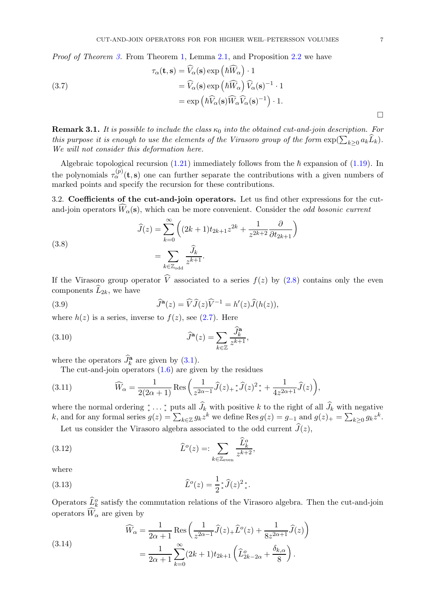*Proof of Theorem [3.](#page-2-1)* From Theorem [1,](#page-1-2) Lemma [2.1,](#page-4-2) and Proposition [2.2](#page-5-1) we have

(3.7)  
\n
$$
\tau_{\alpha}(\mathbf{t}, \mathbf{s}) = \widehat{V}_{\alpha}(\mathbf{s}) \exp\left(\hbar \widehat{W}_{\alpha}\right) \cdot 1
$$
\n
$$
= \widehat{V}_{\alpha}(\mathbf{s}) \exp\left(\hbar \widehat{W}_{\alpha}\right) \widehat{V}_{\alpha}(\mathbf{s})^{-1} \cdot 1
$$
\n
$$
= \exp\left(\hbar \widehat{V}_{\alpha}(\mathbf{s}) \widehat{W}_{\alpha} \widehat{V}_{\alpha}(\mathbf{s})^{-1}\right) \cdot 1.
$$

**Remark 3.1.** It is possible to include the class  $\kappa_0$  into the obtained cut-and-join description. For this purpose it is enough to use the elements of the Virasoro group of the form  $\exp(\sum_{k\geq 0} a_k \widehat{L}_k)$ . We will not consider this deformation here.

Algebraic topological recursion  $(1.21)$  immediately follows from the  $\hbar$  expansion of  $(1.19)$ . In the polynomials  $\tau_\alpha^{(p)}(\mathbf{t},\mathbf{s})$  one can further separate the contributions with a given numbers of marked points and specify the recursion for these contributions.

3.2. Coefficients of the cut-and-join operators. Let us find other expressions for the cutand-join operators  $W_{\alpha}(\mathbf{s})$ , which can be more convenient. Consider the *odd bosonic current* 

(3.8)  

$$
\widehat{J}(z) = \sum_{k=0}^{\infty} \left( (2k+1)t_{2k+1} z^{2k} + \frac{1}{z^{2k+2}} \frac{\partial}{\partial t_{2k+1}} \right)
$$

$$
= \sum_{k \in \mathbb{Z}_{odd}} \frac{\widehat{J}_k}{z^{k+1}}.
$$

If the Virasoro group operator  $\widehat{V}$  associated to a series  $f(z)$  by  $(2.8)$  contains only the even components  $L_{2k}$ , we have

(3.9) 
$$
\widehat{J}^{\mathbf{a}}(z) = \widehat{V}\widehat{J}(z)\widehat{V}^{-1} = h'(z)\widehat{J}(h(z)),
$$

where  $h(z)$  is a series, inverse to  $f(z)$ , see [\(2.7\)](#page-4-4). Here

(3.10) 
$$
\widehat{J}^{\mathbf{a}}(z) = \sum_{k \in \mathbb{Z}} \frac{\widehat{J}_k^{\mathbf{a}}}{z^{k+1}},
$$

where the operators  $\widehat{J}_k^{\mathbf{a}}$  are given by [\(3.1\)](#page-5-2).

The cut-and-join operators  $(1.6)$  are given by the residues

(3.11) 
$$
\widehat{W}_{\alpha} = \frac{1}{2(2\alpha+1)} \operatorname{Res} \left( \frac{1}{z^{2\alpha-1}} \widehat{J}(z)_{+ \ast} \widehat{J}(z)^2 \ast + \frac{1}{4z^{2\alpha+1}} \widehat{J}(z) \right),
$$

where the normal ordering \*  $\dots$  \* puts all  $\widehat{J}_k$  with positive k to the right of all  $\widehat{J}_k$  with negative k, and for any formal series  $g(z) = \sum_{k \in \mathbb{Z}} g_k z^k$  we define  $\text{Res } g(z) = g_{-1}$  and  $g(z)_+ = \sum_{k \geq 0} g_k z^k$ .

Let us consider the Virasoro algebra associated to the odd current  $\hat{J}(z)$ ,

(3.12) 
$$
\widehat{L}^o(z) =: \sum_{k \in \mathbb{Z}_{even}} \frac{\widehat{L}_k^o}{z^{k+2}},
$$

where

(3.13) 
$$
\widehat{L}^o(z) = \frac{1}{2^*} \widehat{J}(z)^2^*.
$$

Operators  $\widehat{L}_{k}^o$  satisfy the commutation relations of the Virasoro algebra. Then the cut-and-join operators  $\hat{W}_{\alpha}$  are given by

<span id="page-6-0"></span>(3.14) 
$$
\widehat{W}_{\alpha} = \frac{1}{2\alpha + 1} \operatorname{Res}_{k=0} \left( \frac{1}{z^{2\alpha - 1}} \widehat{J}(z) + \widehat{L}^o(z) + \frac{1}{8z^{2\alpha + 1}} \widehat{J}(z) \right) \n= \frac{1}{2\alpha + 1} \sum_{k=0}^{\infty} (2k + 1) t_{2k+1} \left( \widehat{L}_{2k-2\alpha}^o + \frac{\delta_{k,\alpha}}{8} \right).
$$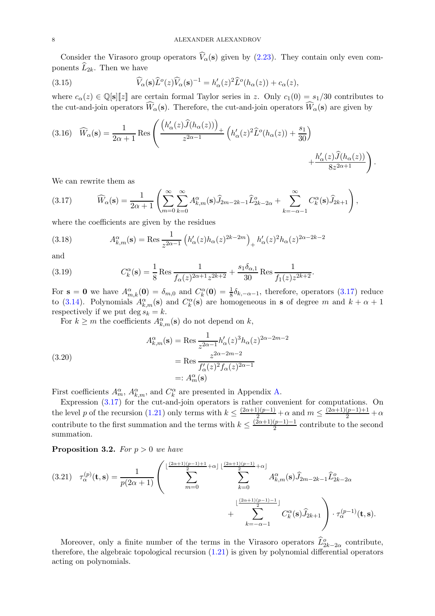Consider the Virasoro group operators  $\widehat{V}_{\alpha}(\mathbf{s})$  given by [\(2.23\)](#page-5-3). They contain only even components  $L_{2k}$ . Then we have

(3.15) 
$$
\widehat{V}_{\alpha}(\mathbf{s})\widehat{L}^o(z)\widehat{V}_{\alpha}(\mathbf{s})^{-1} = h'_{\alpha}(z)^2\widehat{L}^o(h_{\alpha}(z)) + c_{\alpha}(z),
$$

where  $c_{\alpha}(z) \in \mathbb{Q}[\mathbf{s}][z]$  are certain formal Taylor series in z. Only  $c_1(0) = s_1/30$  contributes to the cut-and-join operators  $\widehat{W}_{\alpha}(\mathbf{s})$ . Therefore, the cut-and-join operators  $\widehat{W}_{\alpha}(\mathbf{s})$  are given by

$$
(3.16) \quad \widehat{W}_{\alpha}(\mathbf{s}) = \frac{1}{2\alpha + 1} \operatorname{Res}\left(\frac{\left(h_{\alpha}'(z)\widehat{J}(h_{\alpha}(z))\right)_{+}}{z^{2\alpha - 1}} \left(h_{\alpha}'(z)^{2}\widehat{L}^{o}(h_{\alpha}(z)) + \frac{s_{1}}{30}\right) + \frac{h_{\alpha}'(z)\widehat{J}(h_{\alpha}(z))}{8z^{2\alpha + 1}}\right).
$$

We can rewrite them as

<span id="page-7-0"></span>(3.17) 
$$
\widehat{W}_{\alpha}(\mathbf{s}) = \frac{1}{2\alpha+1} \left( \sum_{m=0}^{\infty} \sum_{k=0}^{\infty} A_{k,m}^{\alpha}(\mathbf{s}) \widehat{J}_{2m-2k-1} \widehat{L}_{2k-2\alpha}^{\alpha} + \sum_{k=-\alpha-1}^{\infty} C_{k}^{\alpha}(\mathbf{s}) \widehat{J}_{2k+1} \right),
$$

where the coefficients are given by the residues

(3.18) 
$$
A_{k,m}^{\alpha}(\mathbf{s}) = \text{Res}_{z^{2\alpha-1}} \left( h_{\alpha}'(z) h_{\alpha}(z)^{2k-2m} \right)_{+} h_{\alpha}'(z)^{2} h_{\alpha}(z)^{2\alpha-2k-2}
$$

and

<span id="page-7-1"></span>(3.19) 
$$
C_k^{\alpha}(\mathbf{s}) = \frac{1}{8} \operatorname{Res} \frac{1}{f_{\alpha}(z)^{2\alpha+1} z^{2k+2}} + \frac{s_1 \delta_{\alpha,1}}{30} \operatorname{Res} \frac{1}{f_1(z) z^{2k+2}}.
$$

For  $s = 0$  we have  $A_{m,k}^{\alpha}(0) = \delta_{m,0}$  and  $C_k^{\alpha}(0) = \frac{1}{8}\delta_{k,-\alpha-1}$ , therefore, operators [\(3.17\)](#page-7-0) reduce to [\(3.14\)](#page-6-0). Polynomials  $A_{k,m}^{\alpha}(\mathbf{s})$  and  $C_k^{\alpha}(\mathbf{s})$  are homogeneous in s of degree m and  $k+\alpha+1$ respectively if we put deg  $s_k = k$ .

For  $k \geq m$  the coefficients  $A_{k,m}^{\alpha}(\mathbf{s})$  do not depend on  $k$ ,

<span id="page-7-2"></span>(3.20)  
\n
$$
A_{k,m}^{\alpha}(\mathbf{s}) = \text{Res} \frac{1}{z^{2\alpha - 1}} h_{\alpha}'(z)^{3} h_{\alpha}(z)^{2\alpha - 2m - 2}
$$
\n
$$
= \text{Res} \frac{z^{2\alpha - 2m - 2}}{f_{\alpha}'(z)^{2} f_{\alpha}(z)^{2\alpha - 1}}
$$
\n
$$
=: A_{m}^{\alpha}(\mathbf{s})
$$

First coefficients  $A_m^{\alpha}$ ,  $A_{k,m}^{\alpha}$ , and  $C_k^{\alpha}$  are presented in Appendix [A.](#page-9-0)

Expression [\(3.17\)](#page-7-0) for the cut-and-join operators is rather convenient for computations. On the level p of the recursion [\(1.21\)](#page-2-2) only terms with  $k \leq \frac{(2\alpha+1)(p-1)}{2} + \alpha$  and  $m \leq \frac{(2\alpha+1)(p-1)+1}{2} + \alpha$ contribute to the first summation and the terms with  $k \leq \frac{(2\alpha+1)(p-1)-1}{2}$  $\frac{(p-1)-1}{2}$  contribute to the second summation.

**Proposition 3.2.** For  $p > 0$  we have

$$
(3.21) \quad \tau_{\alpha}^{(p)}(\mathbf{t}, \mathbf{s}) = \frac{1}{p(2\alpha+1)} \left( \sum_{m=0}^{\lfloor \frac{(2\alpha+1)(p-1)+1}{2} + \alpha \rfloor} \sum_{k=0}^{\lfloor \frac{(2\alpha+1)(p-1)}{2} + \alpha \rfloor} A_{k,m}^{\alpha}(\mathbf{s}) \widehat{J}_{2m-2k-1} \widehat{L}_{2k-2\alpha}^o + \sum_{k=-\alpha-1}^{\lfloor \frac{(2\alpha+1)(p-1)-1}{2} \rfloor} C_k^{\alpha}(\mathbf{s}) \widehat{J}_{2k+1} \right) \cdot \tau_{\alpha}^{(p-1)}(\mathbf{t}, \mathbf{s}).
$$

Moreover, only a finite number of the terms in the Virasoro operators  $\hat{L}_{2k-2\alpha}^o$  contribute, therefore, the algebraic topological recursion  $(1.21)$  is given by polynomial differential operators acting on polynomials.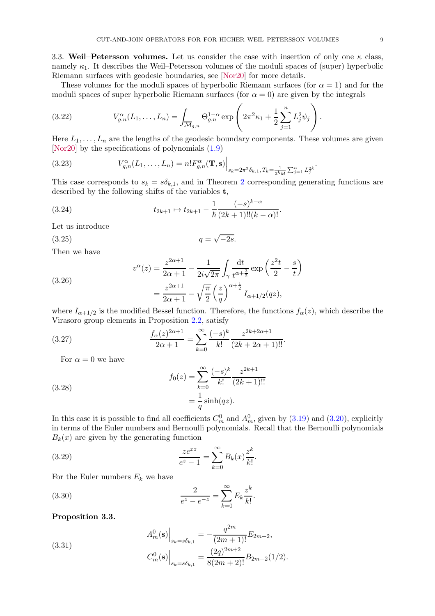<span id="page-8-1"></span>3.3. Weil–Petersson volumes. Let us consider the case with insertion of only one  $\kappa$  class, namely  $\kappa_1$ . It describes the Weil–Petersson volumes of the moduli spaces of (super) hyperbolic Riemann surfaces with geodesic boundaries, see [\[Nor20\]](#page-11-2) for more details.

These volumes for the moduli spaces of hyperbolic Riemann surfaces (for  $\alpha = 1$ ) and for the moduli spaces of super hyperbolic Riemann surfaces (for  $\alpha = 0$ ) are given by the integrals

(3.22) 
$$
V_{g,n}^{\alpha}(L_1,\ldots,L_n) = \int_{\overline{\mathcal{M}}_{g,n}} \Theta_{g,n}^{1-\alpha} \exp\left(2\pi^2 \kappa_1 + \frac{1}{2} \sum_{j=1}^n L_j^2 \psi_j\right).
$$

Here  $L_1, \ldots, L_n$  are the lengths of the geodesic boundary components. These volumes are given [\[Nor20\]](#page-11-2) by the specifications of polynomials [\(1.9\)](#page-1-3)

(3.23) 
$$
V_{g,n}^{\alpha}(L_1,\ldots,L_n) = n! F_{g,n}^{\alpha}(\mathbf{T},\mathbf{s}) \Big|_{s_k=2\pi^2 \delta_{k,1}, T_k = \frac{1}{2^k k!} \sum_{j=1}^n L_j^{2k}}.
$$

This case corresponds to  $s_k = s\delta_{k,1}$ , and in Theorem [2](#page-2-3) corresponding generating functions are described by the following shifts of the variables t,

(3.24) 
$$
t_{2k+1} \mapsto t_{2k+1} - \frac{1}{\hbar} \frac{(-s)^{k-\alpha}}{(2k+1)!!(k-\alpha)!}.
$$

Let us introduce

$$
(3.25) \t\t q = \sqrt{-2s}.
$$

Then we have

(3.26)  

$$
v^{\alpha}(z) = \frac{z^{2\alpha+1}}{2\alpha+1} - \frac{1}{2i\sqrt{2\pi}} \int_{\gamma} \frac{dt}{t^{\alpha+\frac{3}{2}}} \exp\left(\frac{z^{2}t}{2} - \frac{s}{t}\right)
$$

$$
= \frac{z^{2\alpha+1}}{2\alpha+1} - \sqrt{\frac{\pi}{2}} \left(\frac{z}{q}\right)^{\alpha+\frac{1}{2}} I_{\alpha+1/2}(qz),
$$

where  $I_{\alpha+1/2}$  is the modified Bessel function. Therefore, the functions  $f_{\alpha}(z)$ , which describe the Virasoro group elements in Proposition [2.2,](#page-5-1) satisfy

(3.27) 
$$
\frac{f_{\alpha}(z)^{2\alpha+1}}{2\alpha+1} = \sum_{k=0}^{\infty} \frac{(-s)^k}{k!} \frac{z^{2k+2\alpha+1}}{(2k+2\alpha+1)!!}.
$$

For  $\alpha = 0$  we have

<span id="page-8-0"></span>(3.28)  

$$
f_0(z) = \sum_{k=0}^{\infty} \frac{(-s)^k}{k!} \frac{z^{2k+1}}{(2k+1)!!}
$$

$$
= \frac{1}{q} \sinh(qz).
$$

In this case it is possible to find all coefficients  $C_m^0$  and  $A_m^0$ , given by  $(3.19)$  and  $(3.20)$ , explicitly in terms of the Euler numbers and Bernoulli polynomials. Recall that the Bernoulli polynomials  $B_k(x)$  are given by the generating function

(3.29) 
$$
\frac{ze^{xz}}{e^z - 1} = \sum_{k=0}^{\infty} B_k(x) \frac{z^k}{k!}.
$$

For the Euler numbers  $E_k$  we have

(3.30) 
$$
\frac{2}{e^z - e^{-z}} = \sum_{k=0}^{\infty} E_k \frac{z^k}{k!}.
$$

## Proposition 3.3.

(3.31) 
$$
A_m^0(\mathbf{s})\Big|_{s_k=s\delta_{k,1}} = -\frac{q^{2m}}{(2m+1)!}E_{2m+2},
$$

$$
C_m^0(\mathbf{s})\Big|_{s_k=s\delta_{k,1}} = \frac{(2q)^{2m+2}}{8(2m+2)!}B_{2m+2}(1/2).
$$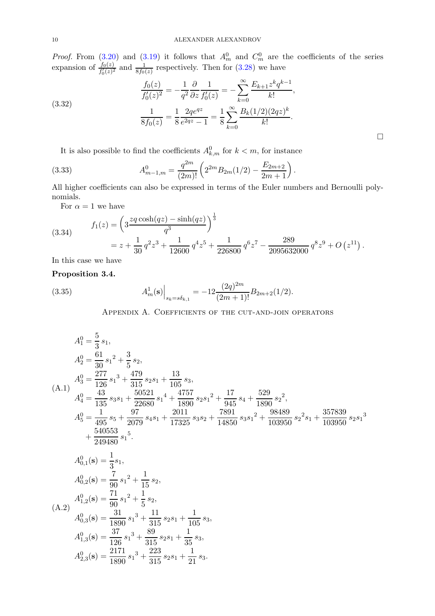*Proof.* From (3.20) and (3.19) it follows that  $A_m^0$  and  $C_m^0$  are the coefficients of the series expansion of  $\frac{f_0(z)}{f_0'(z)^2}$  and  $\frac{1}{8f_0(z)}$  respectively. Then for (3.28) we have

(3.32) 
$$
\frac{f_0(z)}{f'_0(z)^2} = -\frac{1}{q^2} \frac{\partial}{\partial z} \frac{1}{f'_0(z)} = -\sum_{k=0}^{\infty} \frac{E_{k+1} z^k q^{k-1}}{k!},
$$

$$
\frac{1}{8f_0(z)} = \frac{1}{8} \frac{2qe^{qz}}{e^{2qz} - 1} = \frac{1}{8} \sum_{k=0}^{\infty} \frac{B_k(1/2)(2qz)^k}{k!}.
$$

It is also possible to find the coefficients  $A^0_{k,m}$  for  $k < m$ , for instance

(3.33) 
$$
A_{m-1,m}^0 = \frac{q^{2m}}{(2m)!} \left( 2^{2m} B_{2m}(1/2) - \frac{E_{2m+2}}{2m+1} \right).
$$

All higher coefficients can also be expressed in terms of the Euler numbers and Bernoulli polynomials.

For  $\alpha = 1$  we have

(3.34) 
$$
f_1(z) = \left(3\frac{zq\cosh(qz) - \sinh(qz)}{q^3}\right)^{\frac{1}{3}}
$$

$$
= z + \frac{1}{30}q^2z^3 + \frac{1}{12600}q^4z^5 + \frac{1}{226800}q^6z^7 - \frac{289}{2095632000}q^8z^9 + O(z^{11}).
$$

In this case we have

## Proposition 3.4.

<span id="page-9-0"></span>(3.35) 
$$
A_m^1(\mathbf{s})\Big|_{s_k=s\delta_{k,1}}=-12\frac{(2q)^{2m}}{(2m+1)!}B_{2m+2}(1/2).
$$

$$
A_1^0 = \frac{5}{3}s_1,
$$
  
\n
$$
A_2^0 = \frac{61}{30}s_1^2 + \frac{3}{5}s_2,
$$
  
\n
$$
A_3^0 = \frac{277}{126}s_1^3 + \frac{479}{315}s_2s_1 + \frac{13}{105}s_3,
$$
  
\n
$$
A_4^0 = \frac{43}{135}s_3s_1 + \frac{50521}{22680}s_1^4 + \frac{4757}{1890}s_2s_1^2 + \frac{17}{945}s_4 + \frac{529}{1890}s_2^2,
$$
  
\n
$$
A_5^0 = \frac{1}{495}s_5 + \frac{97}{2079}s_4s_1 + \frac{2011}{17325}s_3s_2 + \frac{7891}{14850}s_3s_1^2 + \frac{98489}{103950}s_2^2s_1 + \frac{357839}{103950}s_2s_1^3
$$
  
\n
$$
+ \frac{540553}{249480}s_1^5.
$$
  
\n
$$
A_{0,1}^0(s) = \frac{1}{3}s_1,
$$
  
\n
$$
A_{0,2}^0(s) = \frac{7}{90}s_1^2 + \frac{1}{15}s_2,
$$
  
\n
$$
A_{1,2}^0(s) = \frac{71}{90}s_1^2 + \frac{1}{5}s_2,
$$
  
\n
$$
A_{0,3}^0(s) = \frac{31}{1890}s_1^3 + \frac{11}{315}s_2s_1 + \frac{1}{105}s_3,
$$
  
\n
$$
A_{1,3}^0(s) = \frac{37}{126}s_1^3 + \frac{89}{315}s_2s_1 + \frac{1}{35}s_3,
$$
  
\n
$$
A_{2,3}^0(s) = \frac{2171}{1890}s_1^3 + \frac{223}{315}s_2s_1 + \frac{1}{21}s_3.
$$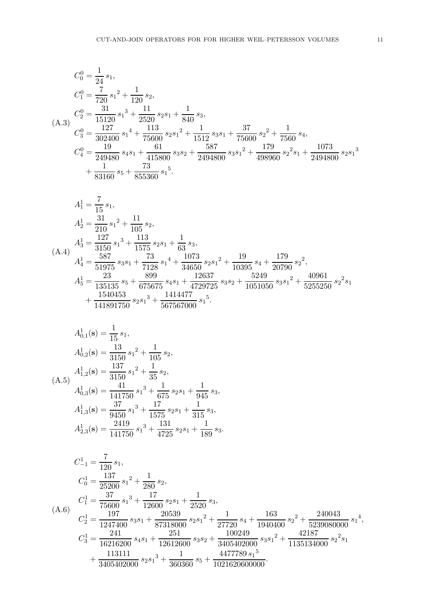$$
\begin{split} &C_{0}^{0}=\frac{1}{24}s_{1},\\ &C_{1}^{0}=\frac{7}{720}s_{1}{}^{2}+\frac{1}{120}s_{2},\\ &C_{2}^{0}=\frac{31}{15120}s_{1}{}^{3}+\frac{11}{2500}s_{2}s_{1}+\frac{1}{840}s_{3},\\ &C_{3}^{0}=\frac{127}{302400}s_{1}{}^{4}+\frac{113}{75600}s_{2}s_{1}{}^{2}+\frac{1}{1512}s_{3}s_{1}+\frac{37}{75600}s_{2}{}^{2}+\frac{1}{75600}s_{4},\\ &C_{4}^{0}=\frac{19}{2494800}s_{4}s_{1}+\frac{61}{415800}s_{3}s_{2}+\frac{587}{2494800}s_{3}s_{1}{}^{2}+\frac{179}{498960}s_{2}{}^{2}s_{1}+\frac{1073}{2494800}s_{2}s_{1}{}^{3}\\ &+\frac{1}{83160}s_{5}+\frac{73}{855360}s_{1}^{5}.\\ &A_{1}^{1}=\frac{7}{15}s_{1},\\ &A_{2}^{1}=\frac{31}{210}s_{1}{}^{2}+\frac{11}{105}s_{2},\\ &A_{3}^{1}=\frac{127}{3150}s_{1}{}^{3}+\frac{113}{1575}s_{2}s_{1}+\frac{1}{63}s_{3},\\ &A_{4}^{1}=\frac{587}{51975}s_{3}s_{1}+\frac{73}{7128}s_{1}{}^{4}+\frac{1073}{34650}s_{2}s_{1}{}^{2}+\frac{19}{10395}s_{4}+\frac{179}{20790}s_{2}{}^{2},\\ &A_{5}^{1}=\frac{23}{135135}s_{5}+\frac{899}{675675}s_{4s_{1}}+\frac{12637}{4729725}s_{3s_{2}}+\frac{5249}{1051050}s_{3s_{1}{}^{2}+\frac{40961}{5255250}s_{2}{}^{2}s_{1}\\ &+\frac{1540453}{141891750}s_{2}s_{1}{}^{3}+\frac{141447
$$

$$
C_{-1}^{1} = \frac{7}{120} s_1,
$$
  
\n
$$
C_0^{1} = \frac{137}{25200} s_1^2 + \frac{1}{280} s_2,
$$
  
\n
$$
C_1^{1} = \frac{37}{75600} s_1^3 + \frac{17}{12600} s_2 s_1 + \frac{1}{2520} s_3,
$$
  
\n
$$
C_2^{1} = \frac{197}{1247400} s_3 s_1 + \frac{20539}{87318000} s_2 s_1^2 + \frac{1}{27720} s_4 + \frac{163}{1940400} s_2^2 + \frac{240043}{5239080000} s_1^4,
$$
  
\n
$$
C_3^{1} = \frac{241}{16216200} s_4 s_1 + \frac{251}{12612600} s_3 s_2 + \frac{100249}{3405402000} s_3 s_1^2 + \frac{42187}{1135134000} s_2^2 s_1
$$
  
\n
$$
+ \frac{113111}{3405402000} s_2 s_1^3 + \frac{1}{360360} s_5 + \frac{4477789 s_1^5}{1021620600000}.
$$